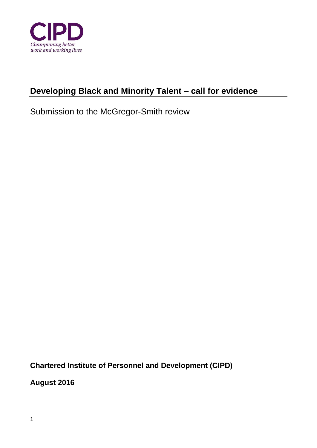

# **Developing Black and Minority Talent – call for evidence**

Submission to the McGregor-Smith review

**Chartered Institute of Personnel and Development (CIPD)** 

**August 2016**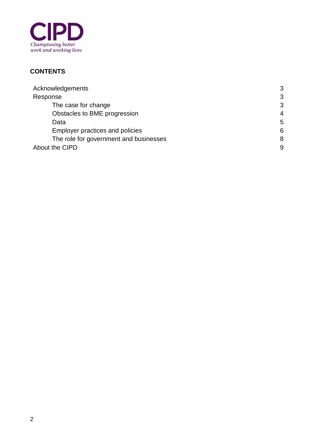

## **CONTENTS**

| Acknowledgements                       | 3              |
|----------------------------------------|----------------|
| Response                               | 3              |
| The case for change                    | 3              |
| Obstacles to BME progression           | $\overline{4}$ |
| Data                                   | 5              |
| Employer practices and policies        | 6              |
| The role for government and businesses | 8              |
| About the CIPD                         | 9              |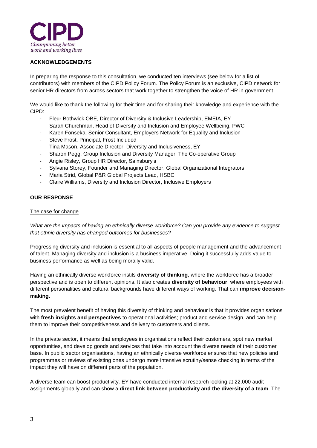

#### **ACKNOWLEDGEMENTS**

In preparing the response to this consultation, we conducted ten interviews (see below for a list of contributors) with members of the CIPD Policy Forum. The Policy Forum is an exclusive, CIPD network for senior HR directors from across sectors that work together to strengthen the voice of HR in government.

We would like to thank the following for their time and for sharing their knowledge and experience with the CIPD:

- Fleur Bothwick OBE, Director of Diversity & Inclusive Leadership, EMEIA, EY
- Sarah Churchman, Head of Diversity and Inclusion and Employee Wellbeing, PWC
- Karen Fonseka, Senior Consultant, Employers Network for Equality and Inclusion
- Steve Frost, Principal, Frost Included
- Tina Mason, Associate Director, Diversity and Inclusiveness, EY
- Sharon Pegg, Group Inclusion and Diversity Manager, The Co-operative Group
- Angie Risley, Group HR Director, Sainsbury's
- Sylvana Storey, Founder and Managing Director, Global Organizational Integrators
- Maria Strid, Global P&R Global Projects Lead, HSBC
- Claire Williams, Diversity and Inclusion Director, Inclusive Employers

### **OUR RESPONSE**

#### The case for change

*What are the impacts of having an ethnically diverse workforce? Can you provide any evidence to suggest that ethnic diversity has changed outcomes for businesses?*

Progressing diversity and inclusion is essential to all aspects of people management and the advancement of talent. Managing diversity and inclusion is a business imperative. Doing it successfully adds value to business performance as well as being morally valid.

Having an ethnically diverse workforce instils **diversity of thinking**, where the workforce has a broader perspective and is open to different opinions. It also creates **diversity of behaviour**, where employees with different personalities and cultural backgrounds have different ways of working. That can **improve decisionmaking.**

The most prevalent benefit of having this diversity of thinking and behaviour is that it provides organisations with **fresh insights and perspectives** to operational activities; product and service design, and can help them to improve their competitiveness and delivery to customers and clients.

In the private sector, it means that employees in organisations reflect their customers, spot new market opportunities, and develop goods and services that take into account the diverse needs of their customer base. In public sector organisations, having an ethnically diverse workforce ensures that new policies and programmes or reviews of existing ones undergo more intensive scrutiny/sense checking in terms of the impact they will have on different parts of the population.

A diverse team can boost productivity. EY have conducted internal research looking at 22,000 audit assignments globally and can show a **direct link between productivity and the diversity of a team**. The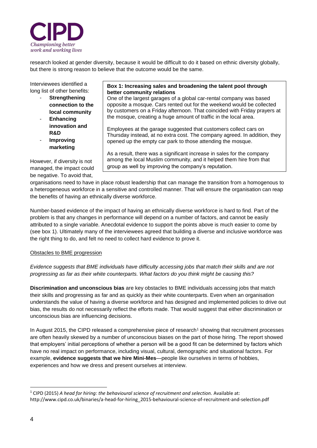

research looked at gender diversity, because it would be difficult to do it based on ethnic diversity globally, but there is strong reason to believe that the outcome would be the same.

Interviewees identified a long list of other benefits:

- **Strengthening connection to the local community**
- **Enhancing innovation and R&D**
- **Improving marketing**

However, if diversity is not managed, the impact could be negative. To avoid that,

#### **Box 1: Increasing sales and broadening the talent pool through better community relations**

One of the largest garages of a global car-rental company was based opposite a mosque. Cars rented out for the weekend would be collected by customers on a Friday afternoon. That coincided with Friday prayers at the mosque, creating a huge amount of traffic in the local area.

Employees at the garage suggested that customers collect cars on Thursday instead, at no extra cost. The company agreed. In addition, they opened up the empty car park to those attending the mosque.

As a result, there was a significant increase in sales for the company among the local Muslim community, and it helped them hire from that group as well by improving the company's reputation.

organisations need to have in place robust leadership that can manage the transition from a homogenous to a heterogeneous workforce in a sensitive and controlled manner. That will ensure the organisation can reap the benefits of having an ethnically diverse workforce.

Number-based evidence of the impact of having an ethnically diverse workforce is hard to find. Part of the problem is that any changes in performance will depend on a number of factors, and cannot be easily attributed to a single variable. Anecdotal evidence to support the points above is much easier to come by (see box 1). Ultimately many of the interviewees agreed that building a diverse and inclusive workforce was the right thing to do, and felt no need to collect hard evidence to prove it.

#### Obstacles to BME progression

*Evidence suggests that BME individuals have difficulty accessing jobs that match their skills and are not progressing as far as their white counterparts. What factors do you think might be causing this?* 

**Discrimination and unconscious bias** are key obstacles to BME individuals accessing jobs that match their skills and progressing as far and as quickly as their white counterparts. Even when an organisation understands the value of having a diverse workforce and has designed and implemented policies to drive out bias, the results do not necessarily reflect the efforts made. That would suggest that either discrimination or unconscious bias are influencing decisions.

In August 2015, the CIPD released a comprehensive piece of research<sup>1</sup> showing that recruitment processes are often heavily skewed by a number of unconscious biases on the part of those hiring. The report showed that employers' initial perceptions of whether a person will be a good fit can be determined by factors which have no real impact on performance, including visual, cultural, demographic and situational factors. For example, **evidence suggests that we hire Mini-Mes**—people like ourselves in terms of hobbies, experiences and how we dress and present ourselves at interview.

-

<sup>1</sup> CIPD (2015) *A head for hiring: the behavioural science of recruitment and selection.* Available at: http://www.cipd.co.uk/binaries/a-head-for-hiring\_2015-behavioural-science-of-recruitment-and-selection.pdf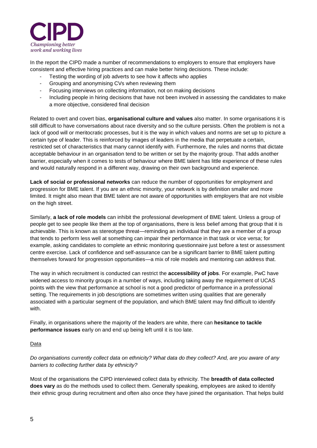

In the report the CIPD made a number of recommendations to employers to ensure that employers have consistent and effective hiring practices and can make better hiring decisions. These include:

- Testing the wording of job adverts to see how it affects who applies
- Grouping and anonymising CVs when reviewing them
- Focusing interviews on collecting information, not on making decisions
- Including people in hiring decisions that have not been involved in assessing the candidates to make a more objective, considered final decision

Related to overt and covert bias, **organisational culture and values** also matter. In some organisations it is still difficult to have conversations about race diversity and so the culture persists. Often the problem is not a lack of good will or meritocratic processes, but it is the way in which values and norms are set up to picture a certain type of leader. This is reinforced by images of leaders in the media that perpetuate a certain, restricted set of characteristics that many cannot identify with. Furthermore, the rules and norms that dictate acceptable behaviour in an organisation tend to be written or set by the majority group. That adds another barrier, especially when it comes to tests of behaviour where BME talent has little experience of these rules and would naturally respond in a different way, drawing on their own background and experience.

**Lack of social or professional networks** can reduce the number of opportunities for employment and progression for BME talent. If you are an ethnic minority, your network is by definition smaller and more limited. It might also mean that BME talent are not aware of opportunities with employers that are not visible on the high street.

Similarly, **a lack of role models** can inhibit the professional development of BME talent. Unless a group of people get to see people like them at the top of organisations, there is less belief among that group that it is achievable. This is known as stereotype threat—reminding an individual that they are a member of a group that tends to perform less well at something can impair their performance in that task or vice versa; for example, asking candidates to complete an ethnic monitoring questionnaire just before a test or assessment centre exercise. Lack of confidence and self-assurance can be a significant barrier to BME talent putting themselves forward for progression opportunities—a mix of role models and mentoring can address that.

The way in which recruitment is conducted can restrict the **accessibility of jobs**. For example, PwC have widened access to minority groups in a number of ways, including taking away the requirement of UCAS points with the view that performance at school is not a good predictor of performance in a professional setting. The requirements in job descriptions are sometimes written using qualities that are generally associated with a particular segment of the population, and which BME talent may find difficult to identify with.

Finally, in organisations where the majority of the leaders are white, there can **hesitance to tackle performance issues** early on and end up being left until it is too late.

**Data** 

*Do organisations currently collect data on ethnicity? What data do they collect? And, are you aware of any barriers to collecting further data by ethnicity?* 

Most of the organisations the CIPD interviewed collect data by ethnicity. The **breadth of data collected does vary** as do the methods used to collect them. Generally speaking, employees are asked to identify their ethnic group during recruitment and often also once they have joined the organisation. That helps build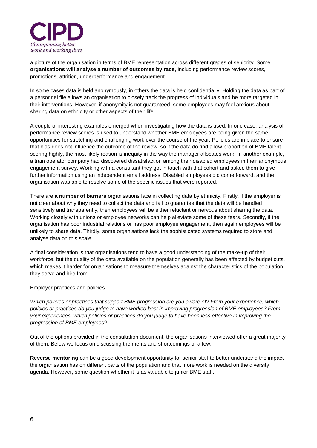

a picture of the organisation in terms of BME representation across different grades of seniority. Some **organisations will analyse a number of outcomes by race**, including performance review scores, promotions, attrition, underperformance and engagement.

In some cases data is held anonymously, in others the data is held confidentially. Holding the data as part of a personnel file allows an organisation to closely track the progress of individuals and be more targeted in their interventions. However, if anonymity is not guaranteed, some employees may feel anxious about sharing data on ethnicity or other aspects of their life.

A couple of interesting examples emerged when investigating how the data is used. In one case, analysis of performance review scores is used to understand whether BME employees are being given the same opportunities for stretching and challenging work over the course of the year. Policies are in place to ensure that bias does not influence the outcome of the review, so if the data do find a low proportion of BME talent scoring highly, the most likely reason is inequity in the way the manager allocates work. In another example, a train operator company had discovered dissatisfaction among their disabled employees in their anonymous engagement survey. Working with a consultant they got in touch with that cohort and asked them to give further information using an independent email address. Disabled employees did come forward, and the organisation was able to resolve some of the specific issues that were reported.

There are **a number of barriers** organisations face in collecting data by ethnicity. Firstly, if the employer is not clear about why they need to collect the data and fail to guarantee that the data will be handled sensitively and transparently, then employees will be either reluctant or nervous about sharing the data. Working closely with unions or employee networks can help alleviate some of these fears. Secondly, if the organisation has poor industrial relations or has poor employee engagement, then again employees will be unlikely to share data. Thirdly, some organisations lack the sophisticated systems required to store and analyse data on this scale.

A final consideration is that organisations tend to have a good understanding of the make-up of their workforce, but the quality of the data available on the population generally has been affected by budget cuts, which makes it harder for organisations to measure themselves against the characteristics of the population they serve and hire from.

#### Employer practices and policies

*Which policies or practices that support BME progression are you aware of? From your experience, which policies or practices do you judge to have worked best in improving progression of BME employees? From your experiences, which policies or practices do you judge to have been less effective in improving the progression of BME employees?*

Out of the options provided in the consultation document, the organisations interviewed offer a great majority of them. Below we focus on discussing the merits and shortcomings of a few.

**Reverse mentoring** can be a good development opportunity for senior staff to better understand the impact the organisation has on different parts of the population and that more work is needed on the diversity agenda. However, some question whether it is as valuable to junior BME staff.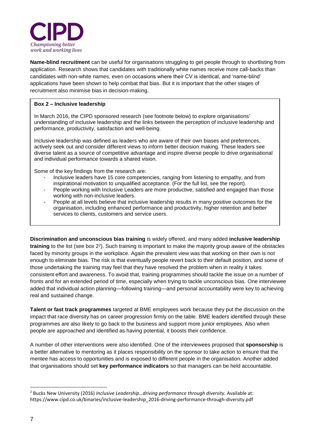

**Name-blind recruitment** can be useful for organisations struggling to get people through to shortlisting from application. Research shows that candidates with traditionally white names receive more call-backs than candidates with non-white names, even on occasions where their CV is identical, and 'name-blind' applications have been shown to help combat that bias. But it is important that the other stages of recruitment also minimise bias in decision-making.

#### **Box 2 – Inclusive leadership**

In March 2016, the CIPD sponsored research (see footnote below) to explore organisations' understanding of inclusive leadership and the links between the perception of inclusive leadership and performance, productivity, satisfaction and well-being.

Inclusive leadership was defined as leaders who are aware of their own biases and preferences, actively seek out and consider different views to inform better decision making. These leaders see diverse talent as a source of competitive advantage and inspire diverse people to drive organisational and individual performance towards a shared vision.

Some of the key findings from the research are:

- Inclusive leaders have 15 core competencies, ranging from listening to empathy, and from inspirational motivation to unqualified acceptance. (For the full list, see the report).
- People working with Inclusive Leaders are more productive, satisfied and engaged than those working with non-inclusive leaders.
- People at all levels believe that inclusive leadership results in many positive outcomes for the organisation, including enhanced performance and productivity, higher retention and better services to clients, customers and service users.

**Discrimination and unconscious bias training** is widely offered, and many added **inclusive leadership** training to the list (see box 2<sup>2</sup>). Such training is important to make the majority group aware of the obstacles faced by minority groups in the workplace. Again the prevalent view was that working on their own is not enough to eliminate bias. The risk is that eventually people revert back to their default position, and some of those undertaking the training may feel that they have resolved the problem when in reality it takes consistent effort and awareness. To avoid that, training programmes should tackle the issue on a number of fronts and for an extended period of time, especially when trying to tackle unconscious bias. One interviewee added that individual action planning—following training—and personal accountability were key to achieving real and sustained change.

**Talent or fast track programmes** targeted at BME employees work because they put the discussion on the impact that race diversity has on career progression firmly on the table. BME leaders identified through these programmes are also likely to go back to the business and support more junior employees. Also when people are approached and identified as having potential, it boosts their confidence.

A number of other interventions were also identified. One of the interviewees proposed that **sponsorship** is a better alternative to mentoring as it places responsibility on the sponsor to take action to ensure that the mentee has access to opportunities and is exposed to different people in the organisation. Another added that organisations should set **key performance indicators** so that managers can be held accountable.

-

<sup>2</sup> Bucks New University (2016) *Inclusive Leadership…driving performance through diversity.* Available at: https://www.cipd.co.uk/binaries/inclusive-leadership\_2016-driving-performance-through-diversity.pdf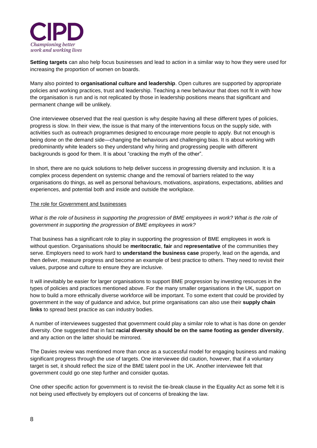

**Setting targets** can also help focus businesses and lead to action in a similar way to how they were used for increasing the proportion of women on boards.

Many also pointed to **organisational culture and leadership**. Open cultures are supported by appropriate policies and working practices, trust and leadership. Teaching a new behaviour that does not fit in with how the organisation is run and is not replicated by those in leadership positions means that significant and permanent change will be unlikely.

One interviewee observed that the real question is why despite having all these different types of policies, progress is slow. In their view, the issue is that many of the interventions focus on the supply side, with activities such as outreach programmes designed to encourage more people to apply. But not enough is being done on the demand side—changing the behaviours and challenging bias. It is about working with predominantly white leaders so they understand why hiring and progressing people with different backgrounds is good for them. It is about "cracking the myth of the other".

In short, there are no quick solutions to help deliver success in progressing diversity and inclusion. It is a complex process dependent on systemic change and the removal of barriers related to the way organisations do things, as well as personal behaviours, motivations, aspirations, expectations, abilities and experiences, and potential both and inside and outside the workplace.

### The role for Government and businesses

*What is the role of business in supporting the progression of BME employees in work? What is the role of government in supporting the progression of BME employees in work?* 

That business has a significant role to play in supporting the progression of BME employees in work is without question. Organisations should be **meritocratic**, **fair** and **representative** of the communities they serve. Employers need to work hard to **understand the business case** properly, lead on the agenda, and then deliver, measure progress and become an example of best practice to others. They need to revisit their values, purpose and culture to ensure they are inclusive.

It will inevitably be easier for larger organisations to support BME progression by investing resources in the types of policies and practices mentioned above. For the many smaller organisations in the UK, support on how to build a more ethnically diverse workforce will be important. To some extent that could be provided by government in the way of guidance and advice, but prime organisations can also use their **supply chain links** to spread best practice as can industry bodies.

A number of interviewees suggested that government could play a similar role to what is has done on gender diversity. One suggested that in fact **racial diversity should be on the same footing as gender diversity**, and any action on the latter should be mirrored.

The Davies review was mentioned more than once as a successful model for engaging business and making significant progress through the use of targets. One interviewee did caution, however, that if a voluntary target is set, it should reflect the size of the BME talent pool in the UK. Another interviewee felt that government could go one step further and consider quotas.

One other specific action for government is to revisit the tie-break clause in the Equality Act as some felt it is not being used effectively by employers out of concerns of breaking the law.